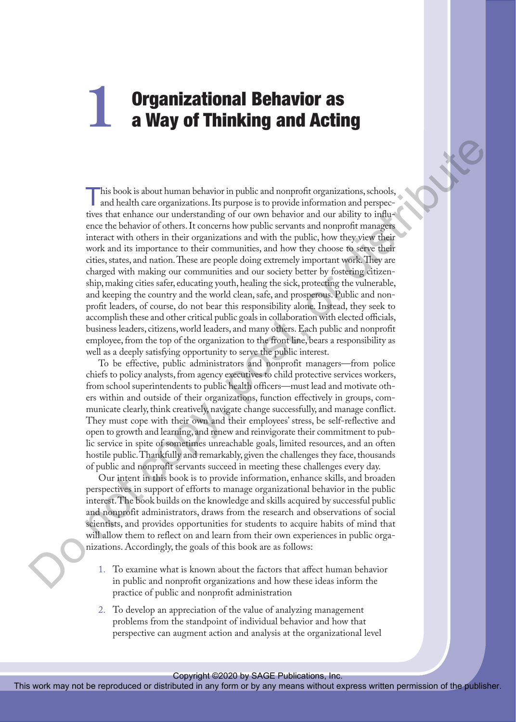# **1** Organizational Behavior as a Way of Thinking and Acting

This book is about human behavior in public and nonprofit organizations, schools, and health care organizations. Its purpose is to provide information and perspectives that enhance our understanding of our own behavior and our ability to influence the behavior of others. It concerns how public servants and nonprofit managers interact with others in their organizations and with the public, how they view their work and its importance to their communities, and how they choose to serve their cities, states, and nation. These are people doing extremely important work. They are charged with making our communities and our society better by fostering citizenship, making cities safer, educating youth, healing the sick, protecting the vulnerable, and keeping the country and the world clean, safe, and prosperous. Public and nonprofit leaders, of course, do not bear this responsibility alone. Instead, they seek to accomplish these and other critical public goals in collaboration with elected officials, business leaders, citizens, world leaders, and many others. Each public and nonprofit employee, from the top of the organization to the front line, bears a responsibility as well as a deeply satisfying opportunity to serve the public interest. This break is above burnon behavior in publis and compatibing majoritations above a consideration or distributed in any form or by any means which we represent the publish, bow shortgott in the publisher or distributed in

To be effective, public administrators and nonprofit managers—from police chiefs to policy analysts, from agency executives to child protective services workers, from school superintendents to public health officers—must lead and motivate others within and outside of their organizations, function effectively in groups, communicate clearly, think creatively, navigate change successfully, and manage conflict. They must cope with their own and their employees' stress, be self-reflective and open to growth and learning, and renew and reinvigorate their commitment to public service in spite of sometimes unreachable goals, limited resources, and an often hostile public. Thankfully and remarkably, given the challenges they face, thousands of public and nonprofit servants succeed in meeting these challenges every day.

Our intent in this book is to provide information, enhance skills, and broaden perspectives in support of efforts to manage organizational behavior in the public interest. The book builds on the knowledge and skills acquired by successful public and nonprofit administrators, draws from the research and observations of social scientists, and provides opportunities for students to acquire habits of mind that will allow them to reflect on and learn from their own experiences in public organizations. Accordingly, the goals of this book are as follows:

- 1. To examine what is known about the factors that affect human behavior in public and nonprofit organizations and how these ideas inform the practice of public and nonprofit administration
- 2. To develop an appreciation of the value of analyzing management problems from the standpoint of individual behavior and how that perspective can augment action and analysis at the organizational level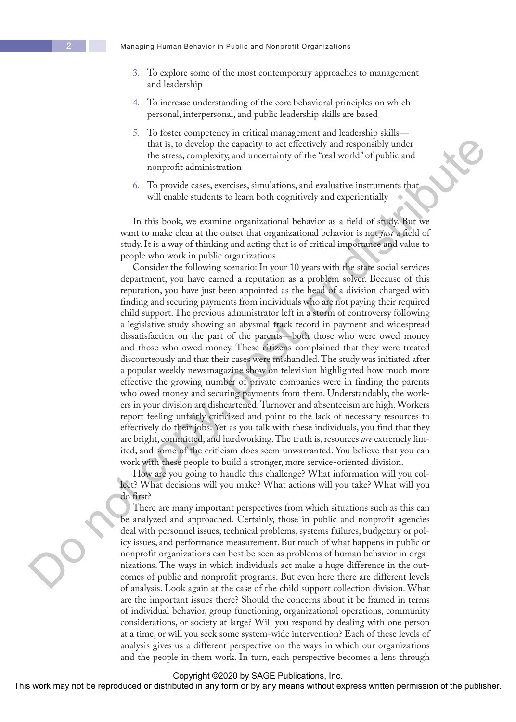- 3. To explore some of the most contemporary approaches to management and leadership
- 4. To increase understanding of the core behavioral principles on which personal, interpersonal, and public leadership skills are based
- 5. To foster competency in critical management and leadership skills that is, to develop the capacity to act effectively and responsibly under the stress, complexity, and uncertainty of the "real world" of public and nonprofit administration
- 6. To provide cases, exercises, simulations, and evaluative instruments that will enable students to learn both cognitively and experientially

In this book, we examine organizational behavior as a field of study. But we want to make clear at the outset that organizational behavior is not *just* a field of study. It is a way of thinking and acting that is of critical importance and value to people who work in public organizations.

Consider the following scenario: In your 10 years with the state social services department, you have earned a reputation as a problem solver. Because of this reputation, you have just been appointed as the head of a division charged with finding and securing payments from individuals who are not paying their required child support. The previous administrator left in a storm of controversy following a legislative study showing an abysmal track record in payment and widespread dissatisfaction on the part of the parents—both those who were owed money and those who owed money. These citizens complained that they were treated discourteously and that their cases were mishandled. The study was initiated after a popular weekly newsmagazine show on television highlighted how much more effective the growing number of private companies were in finding the parents who owed money and securing payments from them. Understandably, the workers in your division are disheartened. Turnover and absenteeism are high. Workers report feeling unfairly criticized and point to the lack of necessary resources to effectively do their jobs. Yet as you talk with these individuals, you find that they are bright, committed, and hardworking. The truth is, resources *are* extremely limited, and some of the criticism does seem unwarranted. You believe that you can work with these people to build a stronger, more service-oriented division. that the relay of the reproduced or distributed in any form or by any form or by any form or the reproduced or distribution of the reproduced in any form or by any means ware any form or by any means were also the represe

How are you going to handle this challenge? What information will you collect? What decisions will you make? What actions will you take? What will you do first?

There are many important perspectives from which situations such as this can be analyzed and approached. Certainly, those in public and nonprofit agencies deal with personnel issues, technical problems, systems failures, budgetary or policy issues, and performance measurement. But much of what happens in public or nonprofit organizations can best be seen as problems of human behavior in organizations. The ways in which individuals act make a huge difference in the outcomes of public and nonprofit programs. But even here there are different levels of analysis. Look again at the case of the child support collection division. What are the important issues there? Should the concerns about it be framed in terms of individual behavior, group functioning, organizational operations, community considerations, or society at large? Will you respond by dealing with one person at a time, or will you seek some system-wide intervention? Each of these levels of analysis gives us a different perspective on the ways in which our organizations and the people in them work. In turn, each perspective becomes a lens through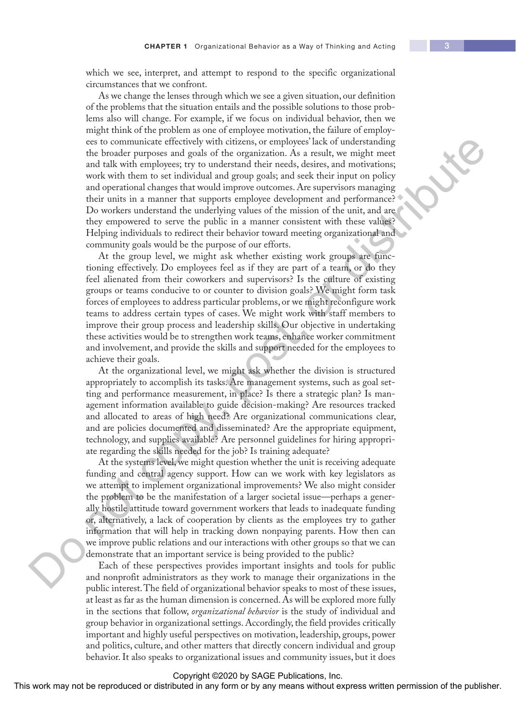which we see, interpret, and attempt to respond to the specific organizational circumstances that we confront.

As we change the lenses through which we see a given situation, our definition of the problems that the situation entails and the possible solutions to those problems also will change. For example, if we focus on individual behavior, then we might think of the problem as one of employee motivation, the failure of employees to communicate effectively with citizens, or employees' lack of understanding the broader purposes and goals of the organization. As a result, we might meet and talk with employees; try to understand their needs, desires, and motivations; work with them to set individual and group goals; and seek their input on policy and operational changes that would improve outcomes. Are supervisors managing their units in a manner that supports employee development and performance? Do workers understand the underlying values of the mission of the unit, and are they empowered to serve the public in a manner consistent with these values? Helping individuals to redirect their behavior toward meeting organizational and community goals would be the purpose of our efforts. ext to constraint the reproduced or distribution of the reproduced in any formula that with express with the representation of the representation of the representation of the representation of the representation of the re

At the group level, we might ask whether existing work groups are functioning effectively. Do employees feel as if they are part of a team, or do they feel alienated from their coworkers and supervisors? Is the culture of existing groups or teams conducive to or counter to division goals? We might form task forces of employees to address particular problems, or we might reconfigure work teams to address certain types of cases. We might work with staff members to improve their group process and leadership skills. Our objective in undertaking these activities would be to strengthen work teams, enhance worker commitment and involvement, and provide the skills and support needed for the employees to achieve their goals.

At the organizational level, we might ask whether the division is structured appropriately to accomplish its tasks. Are management systems, such as goal setting and performance measurement, in place? Is there a strategic plan? Is management information available to guide decision-making? Are resources tracked and allocated to areas of high need? Are organizational communications clear, and are policies documented and disseminated? Are the appropriate equipment, technology, and supplies available? Are personnel guidelines for hiring appropriate regarding the skills needed for the job? Is training adequate?

At the systems level, we might question whether the unit is receiving adequate funding and central agency support. How can we work with key legislators as we attempt to implement organizational improvements? We also might consider the problem to be the manifestation of a larger societal issue—perhaps a generally hostile attitude toward government workers that leads to inadequate funding or, alternatively, a lack of cooperation by clients as the employees try to gather information that will help in tracking down nonpaying parents. How then can we improve public relations and our interactions with other groups so that we can demonstrate that an important service is being provided to the public?

Each of these perspectives provides important insights and tools for public and nonprofit administrators as they work to manage their organizations in the public interest. The field of organizational behavior speaks to most of these issues, at least as far as the human dimension is concerned. As will be explored more fully in the sections that follow, *organizational behavior* is the study of individual and group behavior in organizational settings. Accordingly, the field provides critically important and highly useful perspectives on motivation, leadership, groups, power and politics, culture, and other matters that directly concern individual and group behavior. It also speaks to organizational issues and community issues, but it does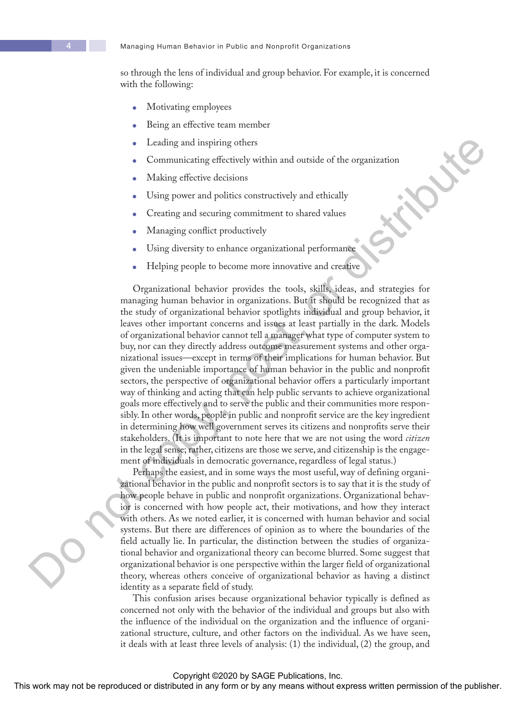so through the lens of individual and group behavior. For example, it is concerned with the following:

- Motivating employees
- Being an effective team member
- Leading and inspiring others
- Communicating effectively within and outside of the organization
- Making effective decisions
- Using power and politics constructively and ethically
- Creating and securing commitment to shared values
- Managing conflict productively
- Using diversity to enhance organizational performance
- Helping people to become more innovative and creative

Organizational behavior provides the tools, skills, ideas, and strategies for managing human behavior in organizations. But it should be recognized that as the study of organizational behavior spotlights individual and group behavior, it leaves other important concerns and issues at least partially in the dark. Models of organizational behavior cannot tell a manager what type of computer system to buy, nor can they directly address outcome measurement systems and other organizational issues—except in terms of their implications for human behavior. But given the undeniable importance of human behavior in the public and nonprofit sectors, the perspective of organizational behavior offers a particularly important way of thinking and acting that can help public servants to achieve organizational goals more effectively and to serve the public and their communities more responsibly. In other words, people in public and nonprofit service are the key ingredient in determining how well government serves its citizens and nonprofits serve their stakeholders. (It is important to note here that we are not using the word *citizen* in the legal sense; rather, citizens are those we serve, and citizenship is the engagement of individuals in democratic governance, regardless of legal status.) Fraction or the reproduced or distributed or distributed in any form or by any means we represented to the represented or distributed in any means we represented in a straight continue to the publisher. All all all all al

Perhaps the easiest, and in some ways the most useful, way of defining organizational behavior in the public and nonprofit sectors is to say that it is the study of how people behave in public and nonprofit organizations. Organizational behavior is concerned with how people act, their motivations, and how they interact with others. As we noted earlier, it is concerned with human behavior and social systems. But there are differences of opinion as to where the boundaries of the field actually lie. In particular, the distinction between the studies of organizational behavior and organizational theory can become blurred. Some suggest that organizational behavior is one perspective within the larger field of organizational theory, whereas others conceive of organizational behavior as having a distinct identity as a separate field of study.

This confusion arises because organizational behavior typically is defined as concerned not only with the behavior of the individual and groups but also with the influence of the individual on the organization and the influence of organizational structure, culture, and other factors on the individual. As we have seen, it deals with at least three levels of analysis: (1) the individual, (2) the group, and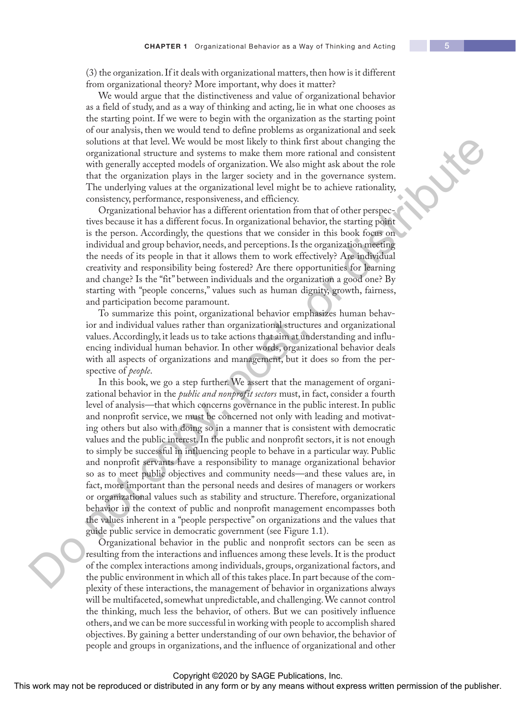(3) the organization. If it deals with organizational matters, then how is it different from organizational theory? More important, why does it matter?

We would argue that the distinctiveness and value of organizational behavior as a field of study, and as a way of thinking and acting, lie in what one chooses as the starting point. If we were to begin with the organization as the starting point of our analysis, then we would tend to define problems as organizational and seek solutions at that level. We would be most likely to think first about changing the organizational structure and systems to make them more rational and consistent with generally accepted models of organization. We also might ask about the role that the organization plays in the larger society and in the governance system. The underlying values at the organizational level might be to achieve rationality, consistency, performance, responsiveness, and efficiency.

Organizational behavior has a different orientation from that of other perspectives because it has a different focus. In organizational behavior, the starting point is the person. Accordingly, the questions that we consider in this book focus on individual and group behavior, needs, and perceptions. Is the organization meeting the needs of its people in that it allows them to work effectively? Are individual creativity and responsibility being fostered? Are there opportunities for learning and change? Is the "fit" between individuals and the organization a good one? By starting with "people concerns," values such as human dignity, growth, fairness, and participation become paramount.

To summarize this point, organizational behavior emphasizes human behavior and individual values rather than organizational structures and organizational values. Accordingly, it leads us to take actions that aim at understanding and influencing individual human behavior. In other words, organizational behavior deals with all aspects of organizations and management, but it does so from the perspective of *people*.

In this book, we go a step further. We assert that the management of organizational behavior in the *public and nonprofit sectors* must, in fact, consider a fourth level of analysis—that which concerns governance in the public interest. In public and nonprofit service, we must be concerned not only with leading and motivating others but also with doing so in a manner that is consistent with democratic values and the public interest. In the public and nonprofit sectors, it is not enough to simply be successful in influencing people to behave in a particular way. Public and nonprofit servants have a responsibility to manage organizational behavior so as to meet public objectives and community needs—and these values are, in fact, more important than the personal needs and desires of managers or workers or organizational values such as stability and structure. Therefore, organizational behavior in the context of public and nonprofit management encompasses both the values inherent in a "people perspective" on organizations and the values that guide public service in democratic government (see Figure 1.1). solutions at the result of the result of the result of the state in all the result of the result of the result of the results and the results of the results with the results with the results with the results with the resu

Organizational behavior in the public and nonprofit sectors can be seen as resulting from the interactions and influences among these levels. It is the product of the complex interactions among individuals, groups, organizational factors, and the public environment in which all of this takes place. In part because of the complexity of these interactions, the management of behavior in organizations always will be multifaceted, somewhat unpredictable, and challenging. We cannot control the thinking, much less the behavior, of others. But we can positively influence others, and we can be more successful in working with people to accomplish shared objectives. By gaining a better understanding of our own behavior, the behavior of people and groups in organizations, and the influence of organizational and other

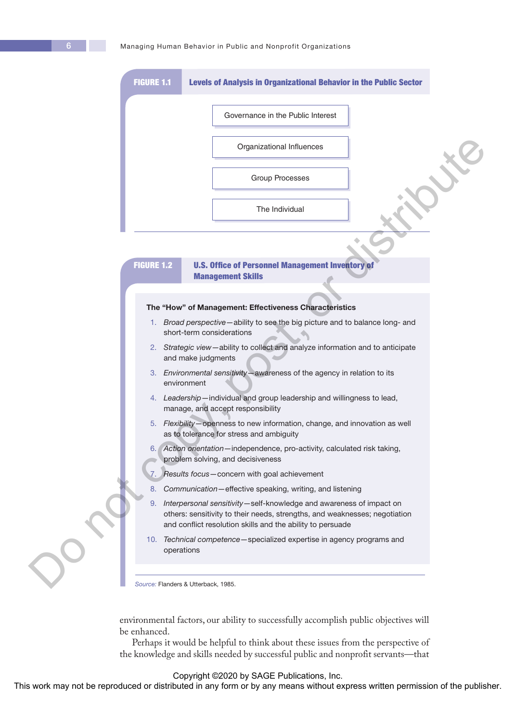

### FIGURE 1.2 U.S. Office of Personnel Management Inventory of Management Skills

### The "How" of Management: Effectiveness Characteristics

- 1. *Broad perspective*—ability to see the big picture and to balance long- and short-term considerations
- 2. *Strategic view*—ability to collect and analyze information and to anticipate and make judgments
- 3. *Environmental sensitivity*—awareness of the agency in relation to its environment
- 4. *Leadership*—individual and group leadership and willingness to lead, manage, and accept responsibility
- 5. *Flexibility*—openness to new information, change, and innovation as well as to tolerance for stress and ambiguity
- 6. *Action orientation*—independence, pro-activity, calculated risk taking, problem solving, and decisiveness
- 7. *Results focus*—concern with goal achievement
- 8. *Communication*—effective speaking, writing, and listening
- 9. *Interpersonal sensitivity*—self-knowledge and awareness of impact on others: sensitivity to their needs, strengths, and weaknesses; negotiation and conflict resolution skills and the ability to persuade
- 10. *Technical competence*—specialized expertise in agency programs and operations

*Source:* Flanders & Utterback, 1985.

environmental factors, our ability to successfully accomplish public objectives will be enhanced.

Perhaps it would be helpful to think about these issues from the perspective of the knowledge and skills needed by successful public and nonprofit servants—that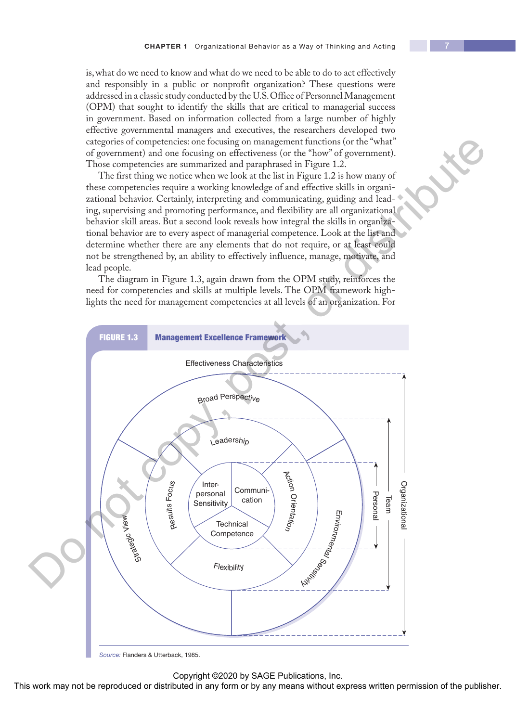is, what do we need to know and what do we need to be able to do to act effectively and responsibly in a public or nonprofit organization? These questions were addressed in a classic study conducted by the U.S. Office of Personnel Management (OPM) that sought to identify the skills that are critical to managerial success in government. Based on information collected from a large number of highly effective governmental managers and executives, the researchers developed two categories of competencies: one focusing on management functions (or the "what" of government) and one focusing on effectiveness (or the "how" of government). Those competencies are summarized and paraphrased in Figure 1.2.

The first thing we notice when we look at the list in Figure 1.2 is how many of these competencies require a working knowledge of and effective skills in organizational behavior. Certainly, interpreting and communicating, guiding and leading, supervising and promoting performance, and flexibility are all organizational behavior skill areas. But a second look reveals how integral the skills in organizational behavior are to every aspect of managerial competence. Look at the list and determine whether there are any elements that do not require, or at least could not be strengthened by, an ability to effectively influence, manage, motivate, and lead people.

The diagram in Figure 1.3, again drawn from the OPM study, reinforces the need for competencies and skills at multiple levels. The OPM framework highlights the need for management competencies at all levels of an organization. For



*Source:* Flanders & Utterback, 1985.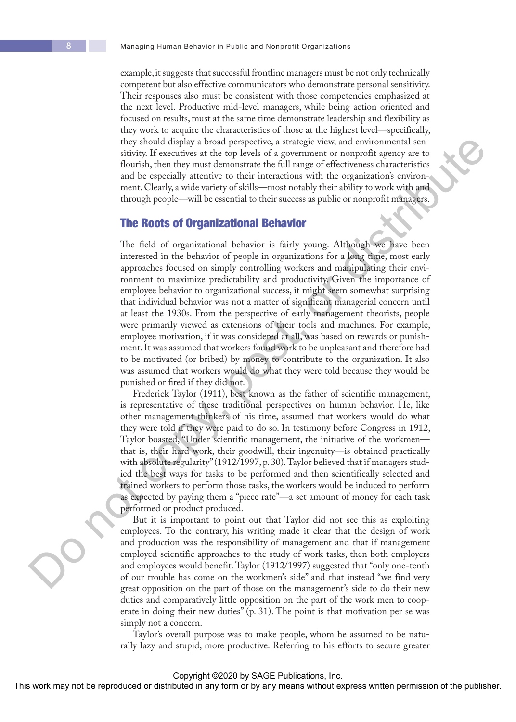example, it suggests that successful frontline managers must be not only technically competent but also effective communicators who demonstrate personal sensitivity. Their responses also must be consistent with those competencies emphasized at the next level. Productive mid-level managers, while being action oriented and focused on results, must at the same time demonstrate leadership and flexibility as they work to acquire the characteristics of those at the highest level—specifically, they should display a broad perspective, a strategic view, and environmental sensitivity. If executives at the top levels of a government or nonprofit agency are to flourish, then they must demonstrate the full range of effectiveness characteristics and be especially attentive to their interactions with the organization's environment. Clearly, a wide variety of skills—most notably their ability to work with and through people—will be essential to their success as public or nonprofit managers.

# The Roots of Organizational Behavior

The field of organizational behavior is fairly young. Although we have been interested in the behavior of people in organizations for a long time, most early approaches focused on simply controlling workers and manipulating their environment to maximize predictability and productivity. Given the importance of employee behavior to organizational success, it might seem somewhat surprising that individual behavior was not a matter of significant managerial concern until at least the 1930s. From the perspective of early management theorists, people were primarily viewed as extensions of their tools and machines. For example, employee motivation, if it was considered at all, was based on rewards or punishment. It was assumed that workers found work to be unpleasant and therefore had to be motivated (or bribed) by money to contribute to the organization. It also was assumed that workers would do what they were told because they would be punished or fired if they did not. the representation of the representation of the representation of the results of the representation of the results of the results of the results of the results of the results of the results of the results of the results o

Frederick Taylor (1911), best known as the father of scientific management, is representative of these traditional perspectives on human behavior. He, like other management thinkers of his time, assumed that workers would do what they were told if they were paid to do so. In testimony before Congress in 1912, Taylor boasted, "Under scientific management, the initiative of the workmen that is, their hard work, their goodwill, their ingenuity—is obtained practically with absolute regularity" (1912/1997, p. 30). Taylor believed that if managers studied the best ways for tasks to be performed and then scientifically selected and trained workers to perform those tasks, the workers would be induced to perform as expected by paying them a "piece rate"—a set amount of money for each task performed or product produced.

But it is important to point out that Taylor did not see this as exploiting employees. To the contrary, his writing made it clear that the design of work and production was the responsibility of management and that if management employed scientific approaches to the study of work tasks, then both employers and employees would benefit. Taylor (1912/1997) suggested that "only one-tenth of our trouble has come on the workmen's side" and that instead "we find very great opposition on the part of those on the management's side to do their new duties and comparatively little opposition on the part of the work men to cooperate in doing their new duties" (p. 31). The point is that motivation per se was simply not a concern.

Taylor's overall purpose was to make people, whom he assumed to be naturally lazy and stupid, more productive. Referring to his efforts to secure greater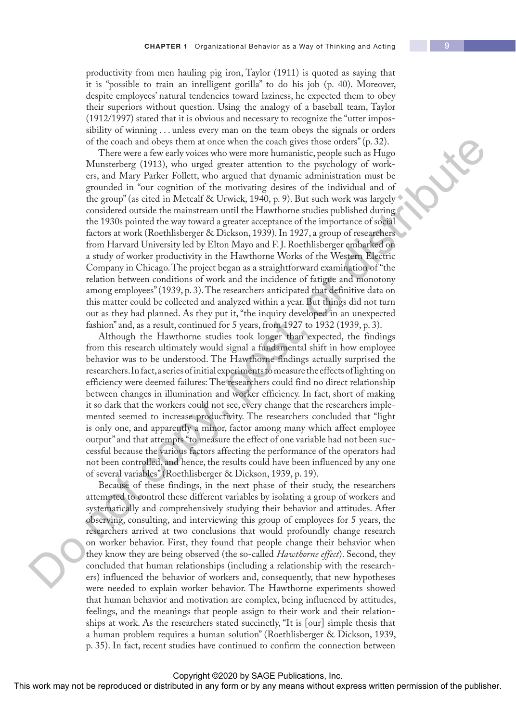productivity from men hauling pig iron, Taylor (1911) is quoted as saying that it is "possible to train an intelligent gorilla" to do his job (p. 40). Moreover, despite employees' natural tendencies toward laziness, he expected them to obey their superiors without question. Using the analogy of a baseball team, Taylor (1912/1997) stated that it is obvious and necessary to recognize the "utter impossibility of winning . . . unless every man on the team obeys the signals or orders of the coach and obeys them at once when the coach gives those orders" (p. 32).

There were a few early voices who were more humanistic, people such as Hugo Munsterberg (1913), who urged greater attention to the psychology of workers, and Mary Parker Follett, who argued that dynamic administration must be grounded in "our cognition of the motivating desires of the individual and of the group" (as cited in Metcalf & Urwick, 1940, p. 9). But such work was largely considered outside the mainstream until the Hawthorne studies published during the 1930s pointed the way toward a greater acceptance of the importance of social factors at work (Roethlisberger & Dickson, 1939). In 1927, a group of researchers from Harvard University led by Elton Mayo and F. J. Roethlisberger embarked on a study of worker productivity in the Hawthorne Works of the Western Electric Company in Chicago. The project began as a straightforward examination of "the relation between conditions of work and the incidence of fatigue and monotony among employees" (1939, p. 3). The researchers anticipated that definitive data on this matter could be collected and analyzed within a year. But things did not turn out as they had planned. As they put it, "the inquiry developed in an unexpected fashion" and, as a result, continued for 5 years, from 1927 to 1932 (1939, p. 3). or the vector of the reproduced or distributed in a model with the reproduced or  $\sim$  B. The representation of the publisher angle ground in any form or by any means we have the publisher. The publisher of the publisher o

Although the Hawthorne studies took longer than expected, the findings from this research ultimately would signal a fundamental shift in how employee behavior was to be understood. The Hawthorne findings actually surprised the researchers. In fact, a series of initial experiments to measure the effects of lighting on efficiency were deemed failures: The researchers could find no direct relationship between changes in illumination and worker efficiency. In fact, short of making it so dark that the workers could not see, every change that the researchers implemented seemed to increase productivity. The researchers concluded that "light is only one, and apparently a minor, factor among many which affect employee output" and that attempts "to measure the effect of one variable had not been successful because the various factors affecting the performance of the operators had not been controlled, and hence, the results could have been influenced by any one of several variables" (Roethlisberger & Dickson, 1939, p. 19).

Because of these findings, in the next phase of their study, the researchers attempted to control these different variables by isolating a group of workers and systematically and comprehensively studying their behavior and attitudes. After observing, consulting, and interviewing this group of employees for 5 years, the researchers arrived at two conclusions that would profoundly change research on worker behavior. First, they found that people change their behavior when they know they are being observed (the so-called *Hawthorne effect*). Second, they concluded that human relationships (including a relationship with the researchers) influenced the behavior of workers and, consequently, that new hypotheses were needed to explain worker behavior. The Hawthorne experiments showed that human behavior and motivation are complex, being influenced by attitudes, feelings, and the meanings that people assign to their work and their relationships at work. As the researchers stated succinctly, "It is [our] simple thesis that a human problem requires a human solution" (Roethlisberger & Dickson, 1939, p. 35). In fact, recent studies have continued to confirm the connection between

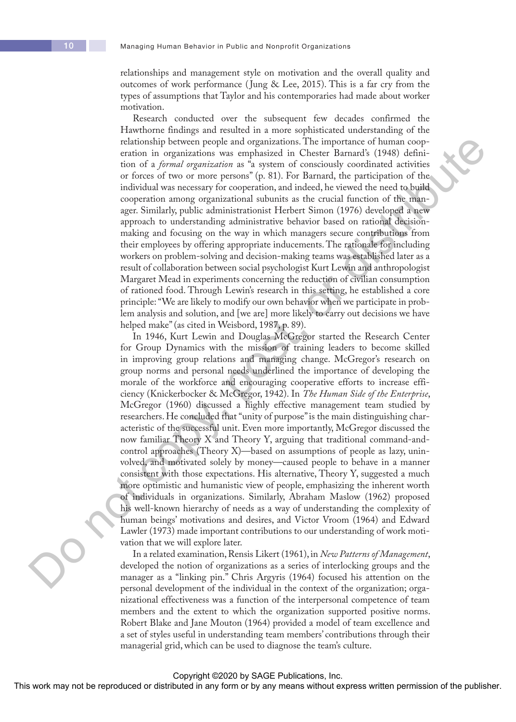relationships and management style on motivation and the overall quality and outcomes of work performance (Jung  $\&$  Lee, 2015). This is a far cry from the types of assumptions that Taylor and his contemporaries had made about worker motivation.

Research conducted over the subsequent few decades confirmed the Hawthorne findings and resulted in a more sophisticated understanding of the relationship between people and organizations. The importance of human cooperation in organizations was emphasized in Chester Barnard's (1948) definition of a *formal organization* as "a system of consciously coordinated activities or forces of two or more persons" (p. 81). For Barnard, the participation of the individual was necessary for cooperation, and indeed, he viewed the need to build cooperation among organizational subunits as the crucial function of the manager. Similarly, public administrationist Herbert Simon (1976) developed a new approach to understanding administrative behavior based on rational decisionmaking and focusing on the way in which managers secure contributions from their employees by offering appropriate inducements. The rationale for including workers on problem-solving and decision-making teams was established later as a result of collaboration between social psychologist Kurt Lewin and anthropologist Margaret Mead in experiments concerning the reduction of civilian consumption of rationed food. Through Lewin's research in this setting, he established a core principle: "We are likely to modify our own behavior when we participate in problem analysis and solution, and [we are] more likely to carry out decisions we have helped make" (as cited in Weisbord, 1987, p. 89).

In 1946, Kurt Lewin and Douglas McGregor started the Research Center for Group Dynamics with the mission of training leaders to become skilled in improving group relations and managing change. McGregor's research on group norms and personal needs underlined the importance of developing the morale of the workforce and encouraging cooperative efforts to increase efficiency (Knickerbocker & McGregor, 1942). In *The Human Side of the Enterprise*, McGregor (1960) discussed a highly effective management team studied by researchers. He concluded that "unity of purpose" is the main distinguishing characteristic of the successful unit. Even more importantly, McGregor discussed the now familiar Theory X and Theory Y, arguing that traditional command-andcontrol approaches (Theory X)—based on assumptions of people as lazy, uninvolved, and motivated solely by money—caused people to behave in a manner consistent with those expectations. His alternative, Theory Y, suggested a much more optimistic and humanistic view of people, emphasizing the inherent worth of individuals in organizations. Similarly, Abraham Maslow (1962) proposed his well-known hierarchy of needs as a way of understanding the complexity of human beings' motivations and desires, and Victor Vroom (1964) and Edward Lawler (1973) made important contributions to our understanding of work motivation that we will explore later. relationship between points and consistents. The incordinate is the repression or by any form or by any means within the repression of the publisher. This was no the publisher and the publisher and the publisher and the p

In a related examination, Rensis Likert (1961), in *New Patterns of Management*, developed the notion of organizations as a series of interlocking groups and the manager as a "linking pin." Chris Argyris (1964) focused his attention on the personal development of the individual in the context of the organization; organizational effectiveness was a function of the interpersonal competence of team members and the extent to which the organization supported positive norms. Robert Blake and Jane Mouton (1964) provided a model of team excellence and a set of styles useful in understanding team members' contributions through their managerial grid, which can be used to diagnose the team's culture.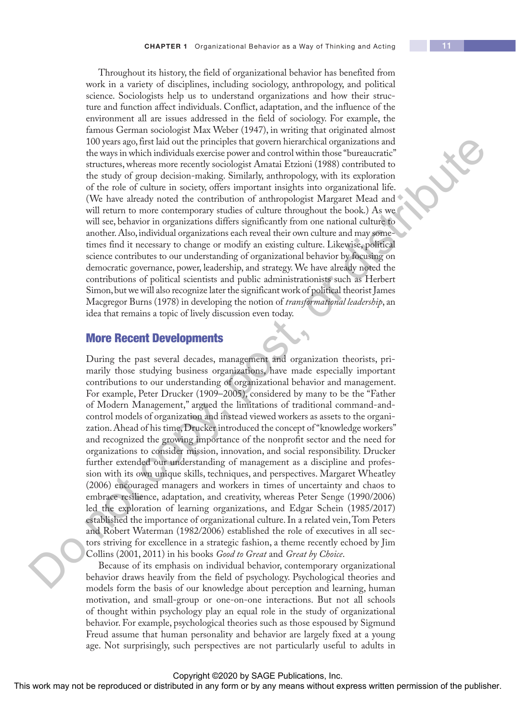Throughout its history, the field of organizational behavior has benefited from work in a variety of disciplines, including sociology, anthropology, and political science. Sociologists help us to understand organizations and how their structure and function affect individuals. Conflict, adaptation, and the influence of the environment all are issues addressed in the field of sociology. For example, the famous German sociologist Max Weber (1947), in writing that originated almost 100 years ago, first laid out the principles that govern hierarchical organizations and the ways in which individuals exercise power and control within those "bureaucratic" structures, whereas more recently sociologist Amatai Etzioni (1988) contributed to the study of group decision-making. Similarly, anthropology, with its exploration of the role of culture in society, offers important insights into organizational life. (We have already noted the contribution of anthropologist Margaret Mead and will return to more contemporary studies of culture throughout the book.) As we will see, behavior in organizations differs significantly from one national culture to another. Also, individual organizations each reveal their own culture and may sometimes find it necessary to change or modify an existing culture. Likewise, political science contributes to our understanding of organizational behavior by focusing on democratic governance, power, leadership, and strategy. We have already noted the contributions of political scientists and public administrationists such as Herbert Simon, but we will also recognize later the significant work of political theorist James Macgregor Burns (1978) in developing the notion of *transformational leadership*, an idea that remains a topic of lively discussion even today.

# More Recent Developments

During the past several decades, management and organization theorists, primarily those studying business organizations, have made especially important contributions to our understanding of organizational behavior and management. For example, Peter Drucker (1909–2005), considered by many to be the "Father of Modern Management," argued the limitations of traditional command-andcontrol models of organization and instead viewed workers as assets to the organization. Ahead of his time, Drucker introduced the concept of "knowledge workers" and recognized the growing importance of the nonprofit sector and the need for organizations to consider mission, innovation, and social responsibility. Drucker further extended our understanding of management as a discipline and profession with its own unique skills, techniques, and perspectives. Margaret Wheatley (2006) encouraged managers and workers in times of uncertainty and chaos to embrace resilience, adaptation, and creativity, whereas Peter Senge (1990/2006) led the exploration of learning organizations, and Edgar Schein (1985/2017) established the importance of organizational culture. In a related vein, Tom Peters and Robert Waterman (1982/2006) established the role of executives in all sectors striving for excellence in a strategic fashion, a theme recently echoed by Jim Collins (2001, 2011) in his books *Good to Great* and *Great by Choice*. TO years are first that is the product may not be represented or positive and the representation or the representation of the publisher or by any means were also of the publisher or by any form or by any form or by any me

Because of its emphasis on individual behavior, contemporary organizational behavior draws heavily from the field of psychology. Psychological theories and models form the basis of our knowledge about perception and learning, human motivation, and small-group or one-on-one interactions. But not all schools of thought within psychology play an equal role in the study of organizational behavior. For example, psychological theories such as those espoused by Sigmund Freud assume that human personality and behavior are largely fixed at a young age. Not surprisingly, such perspectives are not particularly useful to adults in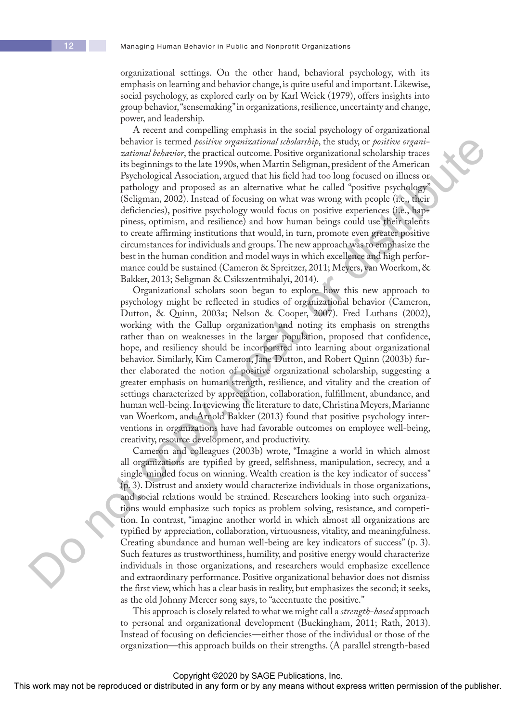organizational settings. On the other hand, behavioral psychology, with its emphasis on learning and behavior change, is quite useful and important. Likewise, social psychology, as explored early on by Karl Weick (1979), offers insights into group behavior, "sensemaking" in organizations, resilience, uncertainty and change, power, and leadership.

A recent and compelling emphasis in the social psychology of organizational behavior is termed *positive organizational scholarship*, the study, or *positive organizational behavior*, the practical outcome. Positive organizational scholarship traces its beginnings to the late 1990s, when Martin Seligman, president of the American Psychological Association, argued that his field had too long focused on illness or pathology and proposed as an alternative what he called "positive psychology" (Seligman, 2002). Instead of focusing on what was wrong with people (i.e., their deficiencies), positive psychology would focus on positive experiences (i.e., happiness, optimism, and resilience) and how human beings could use their talents to create affirming institutions that would, in turn, promote even greater positive circumstances for individuals and groups. The new approach was to emphasize the best in the human condition and model ways in which excellence and high performance could be sustained (Cameron & Spreitzer, 2011; Meyers, van Woerkom, & Bakker, 2013; Seligman & Csikszentmihalyi, 2014).

Organizational scholars soon began to explore how this new approach to psychology might be reflected in studies of organizational behavior (Cameron, Dutton, & Quinn, 2003a; Nelson & Cooper, 2007). Fred Luthans (2002), working with the Gallup organization and noting its emphasis on strengths rather than on weaknesses in the larger population, proposed that confidence, hope, and resiliency should be incorporated into learning about organizational behavior. Similarly, Kim Cameron, Jane Dutton, and Robert Quinn (2003b) further elaborated the notion of positive organizational scholarship, suggesting a greater emphasis on human strength, resilience, and vitality and the creation of settings characterized by appreciation, collaboration, fulfillment, abundance, and human well-being. In reviewing the literature to date, Christina Meyers, Marianne van Woerkom, and Arnold Bakker (2013) found that positive psychology interventions in organizations have had favorable outcomes on employee well-being, creativity, resource development, and productivity. behavior is treated or distributed in the results of the results of the results of the results of the results of the results of the results of the results of the results of the results of the results of the results of the

Cameron and colleagues (2003b) wrote, "Imagine a world in which almost all organizations are typified by greed, selfishness, manipulation, secrecy, and a single-minded focus on winning. Wealth creation is the key indicator of success" (p. 3). Distrust and anxiety would characterize individuals in those organizations, and social relations would be strained. Researchers looking into such organizations would emphasize such topics as problem solving, resistance, and competition. In contrast, "imagine another world in which almost all organizations are typified by appreciation, collaboration, virtuousness, vitality, and meaningfulness. Creating abundance and human well-being are key indicators of success" (p. 3). Such features as trustworthiness, humility, and positive energy would characterize individuals in those organizations, and researchers would emphasize excellence and extraordinary performance. Positive organizational behavior does not dismiss the first view, which has a clear basis in reality, but emphasizes the second; it seeks, as the old Johnny Mercer song says, to "accentuate the positive."

This approach is closely related to what we might call a *strength-based* approach to personal and organizational development (Buckingham, 2011; Rath, 2013). Instead of focusing on deficiencies—either those of the individual or those of the organization—this approach builds on their strengths. (A parallel strength-based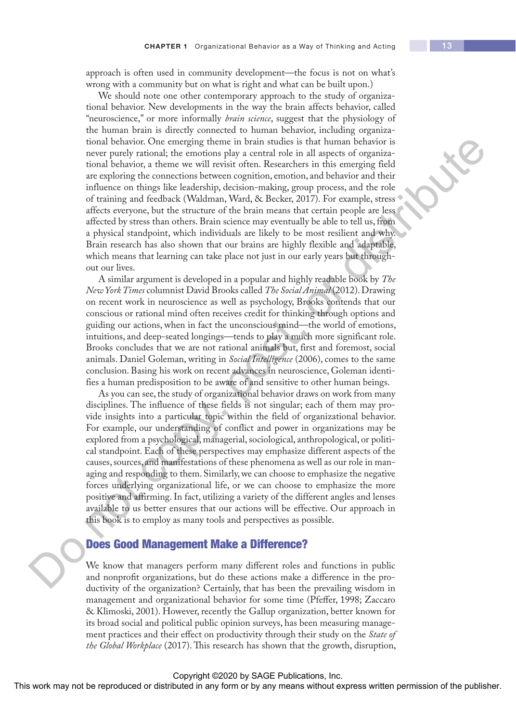approach is often used in community development—the focus is not on what's wrong with a community but on what is right and what can be built upon.)

We should note one other contemporary approach to the study of organizational behavior. New developments in the way the brain affects behavior, called "neuroscience," or more informally *brain science*, suggest that the physiology of the human brain is directly connected to human behavior, including organizational behavior. One emerging theme in brain studies is that human behavior is never purely rational; the emotions play a central role in all aspects of organizational behavior, a theme we will revisit often. Researchers in this emerging field are exploring the connections between cognition, emotion, and behavior and their influence on things like leadership, decision-making, group process, and the role of training and feedback (Waldman, Ward, & Becker, 2017). For example, stress affects everyone, but the structure of the brain means that certain people are less affected by stress than others. Brain science may eventually be able to tell us, from a physical standpoint, which individuals are likely to be most resilient and why. Brain research has also shown that our brains are highly flexible and adaptable, which means that learning can take place not just in our early years but throughout our lives. The condex may not be repressed or the repression in the representation of the repression or the representation of the repression of the publisher. The repression of the publisher and the publisher,  $\alpha$  and  $\alpha$  the pu

A similar argument is developed in a popular and highly readable book by *The New York Times* columnist David Brooks called *The Social Animal* (2012). Drawing on recent work in neuroscience as well as psychology, Brooks contends that our conscious or rational mind often receives credit for thinking through options and guiding our actions, when in fact the unconscious mind—the world of emotions, intuitions, and deep-seated longings—tends to play a much more significant role. Brooks concludes that we are not rational animals but, first and foremost, social animals. Daniel Goleman, writing in *Social Intelligence* (2006), comes to the same conclusion. Basing his work on recent advances in neuroscience, Goleman identifies a human predisposition to be aware of and sensitive to other human beings.

As you can see, the study of organizational behavior draws on work from many disciplines. The influence of these fields is not singular; each of them may provide insights into a particular topic within the field of organizational behavior. For example, our understanding of conflict and power in organizations may be explored from a psychological, managerial, sociological, anthropological, or political standpoint. Each of these perspectives may emphasize different aspects of the causes, sources, and manifestations of these phenomena as well as our role in managing and responding to them. Similarly, we can choose to emphasize the negative forces underlying organizational life, or we can choose to emphasize the more positive and affirming. In fact, utilizing a variety of the different angles and lenses available to us better ensures that our actions will be effective. Our approach in this book is to employ as many tools and perspectives as possible.

## Does Good Management Make a Difference?

We know that managers perform many different roles and functions in public and nonprofit organizations, but do these actions make a difference in the productivity of the organization? Certainly, that has been the prevailing wisdom in management and organizational behavior for some time (Pfeffer, 1998; Zaccaro & Klimoski, 2001). However, recently the Gallup organization, better known for its broad social and political public opinion surveys, has been measuring management practices and their effect on productivity through their study on the *State of the Global Workplace* (2017). This research has shown that the growth, disruption,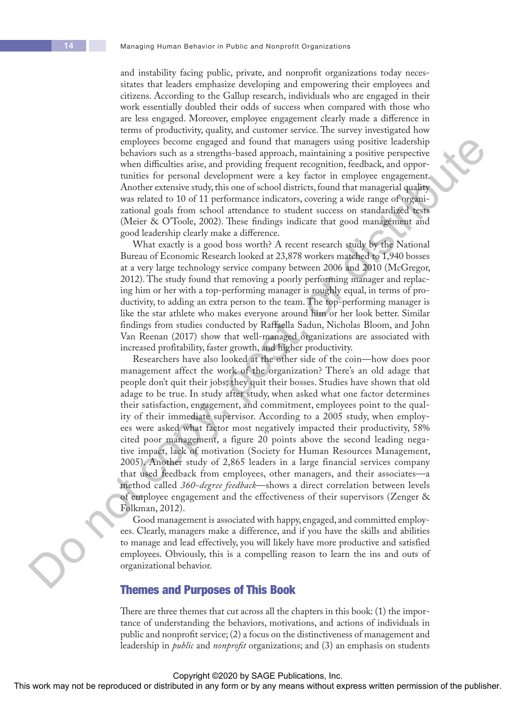and instability facing public, private, and nonprofit organizations today necessitates that leaders emphasize developing and empowering their employees and citizens. According to the Gallup research, individuals who are engaged in their work essentially doubled their odds of success when compared with those who are less engaged. Moreover, employee engagement clearly made a difference in terms of productivity, quality, and customer service. The survey investigated how employees become engaged and found that managers using positive leadership behaviors such as a strengths-based approach, maintaining a positive perspective when difficulties arise, and providing frequent recognition, feedback, and opportunities for personal development were a key factor in employee engagement. Another extensive study, this one of school districts, found that managerial quality was related to 10 of 11 performance indicators, covering a wide range of organizational goals from school attendance to student success on standardized tests (Meier & O'Toole, 2002). These findings indicate that good management and good leadership clearly make a difference.

What exactly is a good boss worth? A recent research study by the National Bureau of Economic Research looked at 23,878 workers matched to 1,940 bosses at a very large technology service company between 2006 and 2010 (McGregor, 2012). The study found that removing a poorly performing manager and replacing him or her with a top-performing manager is roughly equal, in terms of productivity, to adding an extra person to the team. The top-performing manager is like the star athlete who makes everyone around him or her look better. Similar findings from studies conducted by Raffaella Sadun, Nicholas Bloom, and John Van Reenan (2017) show that well-managed organizations are associated with increased profitability, faster growth, and higher productivity.

Researchers have also looked at the other side of the coin—how does poor management affect the work of the organization? There's an old adage that people don't quit their jobs; they quit their bosses. Studies have shown that old adage to be true. In study after study, when asked what one factor determines their satisfaction, engagement, and commitment, employees point to the quality of their immediate supervisor. According to a 2005 study, when employees were asked what factor most negatively impacted their productivity, 58% cited poor management, a figure 20 points above the second leading negative impact, lack of motivation (Society for Human Resources Management, 2005). Another study of 2,865 leaders in a large financial services company that used feedback from employees, other managers, and their associates—a method called *360-degree feedback*—shows a direct correlation between levels of employee engagement and the effectiveness of their supervisors (Zenger & Folkman, 2012). conjects work may not be reproduced or distributed in a stribute between the reproduced or distributed in any form or by any means would be reproduced in a stributed in a stributed in a stributed in a stributed in any for

Good management is associated with happy, engaged, and committed employees. Clearly, managers make a difference, and if you have the skills and abilities to manage and lead effectively, you will likely have more productive and satisfied employees. Obviously, this is a compelling reason to learn the ins and outs of organizational behavior.

## Themes and Purposes of This Book

There are three themes that cut across all the chapters in this book: (1) the importance of understanding the behaviors, motivations, and actions of individuals in public and nonprofit service; (2) a focus on the distinctiveness of management and leadership in *public* and *nonprofit* organizations; and (3) an emphasis on students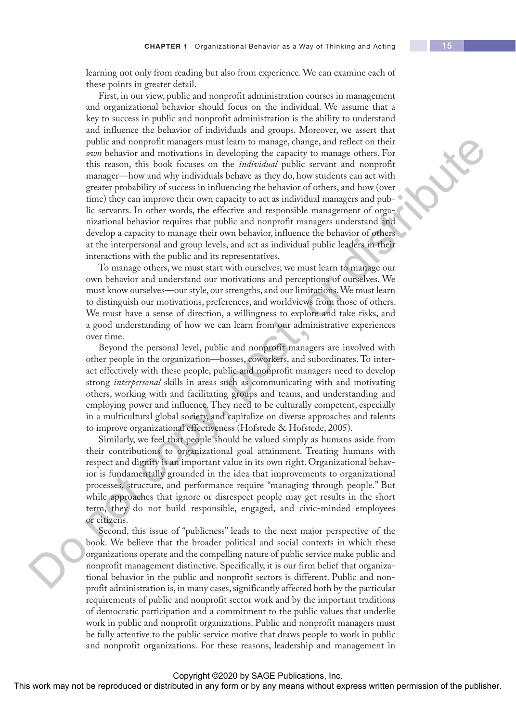learning not only from reading but also from experience. We can examine each of these points in greater detail.

First, in our view, public and nonprofit administration courses in management and organizational behavior should focus on the individual. We assume that a key to success in public and nonprofit administration is the ability to understand and influence the behavior of individuals and groups. Moreover, we assert that public and nonprofit managers must learn to manage, change, and reflect on their *own* behavior and motivations in developing the capacity to manage others. For this reason, this book focuses on the *individual* public servant and nonprofit manager—how and why individuals behave as they do, how students can act with greater probability of success in influencing the behavior of others, and how (over time) they can improve their own capacity to act as individual managers and public servants. In other words, the effective and responsible management of organizational behavior requires that public and nonprofit managers understand and develop a capacity to manage their own behavior, influence the behavior of others at the interpersonal and group levels, and act as individual public leaders in their interactions with the public and its representatives. publis and nontineurite must start or the reproduced or distributed in the reproduced or the reproduced or distributed in a start of the reproduced in a start of the publisher or distributed in any form or the publisher.

To manage others, we must start with ourselves; we must learn to manage our own behavior and understand our motivations and perceptions of ourselves. We must know ourselves—our style, our strengths, and our limitations. We must learn to distinguish our motivations, preferences, and worldviews from those of others. We must have a sense of direction, a willingness to explore and take risks, and a good understanding of how we can learn from our administrative experiences over time.

Beyond the personal level, public and nonprofit managers are involved with other people in the organization—bosses, coworkers, and subordinates. To interact effectively with these people, public and nonprofit managers need to develop strong *interpersonal* skills in areas such as communicating with and motivating others, working with and facilitating groups and teams, and understanding and employing power and influence. They need to be culturally competent, especially in a multicultural global society, and capitalize on diverse approaches and talents to improve organizational effectiveness (Hofstede & Hofstede, 2005).

Similarly, we feel that people should be valued simply as humans aside from their contributions to organizational goal attainment. Treating humans with respect and dignity is an important value in its own right. Organizational behavior is fundamentally grounded in the idea that improvements to organizational processes, structure, and performance require "managing through people." But while approaches that ignore or disrespect people may get results in the short term, they do not build responsible, engaged, and civic-minded employees or citizens.

Second, this issue of "publicness" leads to the next major perspective of the book. We believe that the broader political and social contexts in which these organizations operate and the compelling nature of public service make public and nonprofit management distinctive. Specifically, it is our firm belief that organizational behavior in the public and nonprofit sectors is different. Public and nonprofit administration is, in many cases, significantly affected both by the particular requirements of public and nonprofit sector work and by the important traditions of democratic participation and a commitment to the public values that underlie work in public and nonprofit organizations. Public and nonprofit managers must be fully attentive to the public service motive that draws people to work in public and nonprofit organizations. For these reasons, leadership and management in